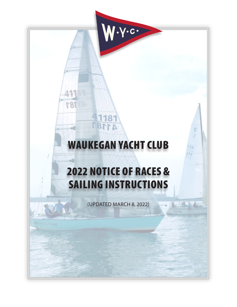# WAUKEGAN YACHT CLUB

τ

U<sub>SA</sub> Σò

1181

41181

41.

181

 $\cdot$ y $\cdot$ c $\cdot$ 

# 2022 NOTICE OF RACES & SAILING INSTRUCTIONS

(UPDATED MARCH 8, 2022)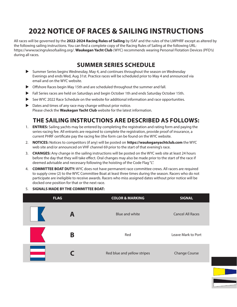# **2022 NOTICE OF RACES & SAILING INSTRUCTIONS**

All races will be governed by the **2022-2024 Racing Rules of Sailing** by ISAF and the rules of the LMPHRF except as altered by the following sailing instructions. You can find a complete copy of the Racing Rules of Sailing at the following URL: https://www.racingrulesofsailing.org/. **Waukegan Yacht Club** (WYC) recommends wearing Personal Flotation Devices (PFD's) during all races.

### **SUMMER SERIES SCHEDULE**

- u Summer Series begins Wednesday, May 4, and continues throughout the season on Wednesday Evenings and ends Wed, Aug 31st. Practice races will be scheduled prior to May 4 and announced via email and on the WYC website.
- $\triangleright$  Offshore Races begin May 15th and are scheduled throughout the summer and fall.
- In Fall Series races are held on Saturdays and begin October 1th and ends Saturday October 15th.
- ▶ See WYC 2022 Race Schedule on the website for additional information and race opportunities.
- $\triangleright$  Dates and times of any race may change without prior notice. Please check the **Waukegan Yacht Club** website for the latest information.

### **THE SAILING INSTRUCTIONS ARE DESCRIBED AS FOLLOWS:**

- 1. **ENTRIES:** Sailing yachts may be entered by completing the registration and rating form and paying the series-racing fee. All entrants are required to complete the registration, provide proof of insurance, a current PHRF certificate pay the racing fee (the form can be found on the WYC website.
- 2. **NOTICES:** Notices to competitors (if any) will be posted on **https://waukeganyachtclub.com** the WYC web site and/or announced on VHF channel 69 prior to the start of that evening's race.
- 3. **CHANGES:** Any change in the sailing instructions will be posted on the WYC web site at least 24 hours before the day that they will take effect. Oral changes may also be made prior to the start of the race if deemed advisable and necessary following the hoisting of the Code Flag "L".
- 4. **COMMITTEE BOAT DUTY:** WYC does not have permanent race committee crews. All racers are required to supply crew (2) to the WYC Committee Boat at least three times during the season. Racers who do not participate are ineligible to receive awards. Racers who miss assigned dates without prior notice will be docked one position for that or the next race.
- 5. **SIGNALS MADE BY THE COMMITTEE BOAT:**

| <b>FLAG</b> |   | <b>COLOR &amp; MARKING</b>  | <b>SIGNAL</b>           |
|-------------|---|-----------------------------|-------------------------|
|             | A | Blue and white              | <b>Cancel All Races</b> |
|             | Β | Red                         | Leave Mark to Port      |
|             |   | Red blue and yellow stripes | <b>Change Course</b>    |

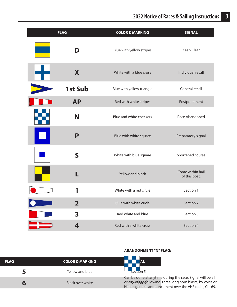| <b>FLAG</b> |                         | <b>COLOR &amp; MARKING</b> | <b>SIGNAL</b>                     |
|-------------|-------------------------|----------------------------|-----------------------------------|
|             | D                       | Blue with yellow stripes   | Keep Clear                        |
|             | X                       | White with a blue cross    | Individual recall                 |
|             | <b>1st Sub</b>          | Blue with yellow triangle  | <b>General recall</b>             |
|             | <b>AP</b>               | Red with white stripes     | Postponement                      |
|             | N                       | Blue and white checkers    | Race Abandoned                    |
|             | P                       | Blue with white square     | Preparatory signal                |
|             | $\mathsf S$             | White with blue square     | Shortened course                  |
|             |                         | Yellow and black           | Come within hail<br>of this boat. |
|             | 1                       | White with a red circle    | Section 1                         |
|             | $\overline{\mathbf{2}}$ | Blue with white circle     | Section 2                         |
|             | 3                       | Red white and blue         | Section 3                         |
|             | 4                       | Red with a white cross     | Section 4                         |

| <b>FLAG</b> | <b>COLOR &amp; MARKING</b> | 'AL                                                                                                                                                                                     |
|-------------|----------------------------|-----------------------------------------------------------------------------------------------------------------------------------------------------------------------------------------|
|             | Yellow and blue            | $sec$ to $5$                                                                                                                                                                            |
|             | Black over white           | Can be done at anytime during the race. Signal will be all<br>or argeofithes following: three long horn blasts; by voice or<br>Hailer: general announcement over the VHF radio, Ch. 69. |

#### **ABANDONMENT "N" FLAG:**



Can be done at anytime during the race. Signal will be all Hailer; general announcement over the VHF radio, Ch. 69.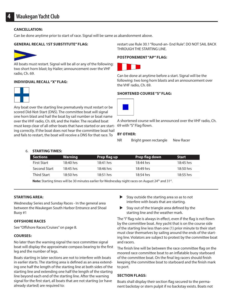#### **CANCELLATION:**

Can be done anytime prior to start of race. Signal will be same as abandonment above.

#### **GENERAL RECALL 1ST SUBSTITUTE" FLAG:**



All boats must restart. Signal will be all or any of the following: two short horn blast; by Hailer; announcement over the VHF radio, Ch. 69.

#### **INDIVIDUAL RECALL "X" FLAG:**



Any boat over the starting line prematurely must restart or be scored Did-Not-Start (DNS). The committee boat will signal one horn blast and hail the boat by sail number or boat name over the VHF radio, Ch. 69, and the Hailer. The recalled boat must keep clear of all other boats that have started or are starting correctly. If the boat does not hear the committee boat hail and fails to restart, the boat will receive a DNS for that race. To

restart use Rule 30.1 "Round-an- End Rule". DO NOT SAIL BACK THROUGH THE STARTING LINE.

#### **POSTPONEMENT "AP" FLAG:**



Can be done at anytime before a start. Signal will be the following: two long horn blasts and an announcement over the VHF radio, Ch. 69.

#### **SHORTENED COURSE "S" FLAG:**



A shortened course will be announced over the VHF radio, Ch. 69 with "S" Flag flown.

#### **BY OTHER:**

NR Bright green rectangle New Racer

#### 6. **STARTING TIMES:**

| <b>Sections</b>    | Warning     | Prep flag up | <b>Prep flag down</b> | <b>Start</b> |
|--------------------|-------------|--------------|-----------------------|--------------|
| <b>First Start</b> | 18:40 hrs   | $18:41$ hrs  | 18:44 hrs             | 18:45 hrs    |
| Second Start       | $18:45$ hrs | 18:46 hrs    | $18:49$ hrs           | 18:50 hrs    |
| <b>Third Start</b> | $18:50$ hrs | 18:51 hrs    | $18:54$ hrs           | $18:55$ hrs  |
|                    |             |              |                       |              |

**Note:** Starting times will be 30 minutes earlier for Wednesday night races on August 24th and 31st.

#### **STARTING AREA:**

Wednesday Series and Sunday Races - In the general area between the Waukegan South Harbor Entrance and Shoal Buoy #1

#### **OFFSHORE RACES**

See "Offshore Races/Cruises" on page 8.

#### **COURSES:**

No later than the warning signal the race committee signal boat will display the approximate compass bearing to the first leg and the number of legs.

Boats starting in later sections are not to interfere with boats in earlier starts. The starting area is defined as an area extending one half the length of the starting line at both sides of the starting line and extending one half the length of the starting line beyond each end of the starting line. After the warning signal for the first start, all boats that are not starting (or have already started) are required to:

- Stay outside the starting area so as to not interfere with boats that are starting.
- Stay out of the triangle area defined by the starting line and the weather mark.

The "I" flag rule is always in effect, even if the flag is not flown by the committee boat. Any yacht that is on the course side of the starting line less than one (1) prior minute to their start must clear themselves by sailing around the ends of the starting line. Violators are subject to protest by the committee boat and racers.

The finish line will be between the race committee flag on the moored race committee boat to an inflatable buoy starboard of the committee boat. On the final leg racers should finish keeping the committee boat to starboard and the finish mark to port.

#### **SECTION FLAGS:**

Boats shall display their section flag secured to the permanent backstay or stern pulpit if no backstay exists. Boats not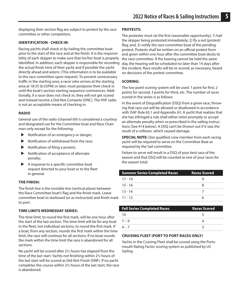displaying their section flag are subject to protest by the race committee or other competitors.

#### **IDENTIFICATION - CHECK IN:**

Racing yachts shall check in by hailing the committee boat prior to the start of the race and at the finish. It is the responsibility of each skipper to make sure that his/her boat is properly identified. In addition, each skipper is responsible for recording the actual finish time of their yacht and if possible the yacht directly ahead and astern. (This information is to be available to the race committee upon request). To prevent unnecessary traffic in the starting area, a racer who arrives at the starting area at 18:35 (6:35PM) or later, must postpone their check in until the boat's section starting sequence commences. Additionally, if a racer does not check in, they will not get scored and instead receive a Did-Not-Compete (DNC). The VHF radio is not an acceptable means of checking in.

#### **RADIO**

General use of the radio (channel 69) is considered a courtesy and designated use for the Committee boat and Race Chairman only except for the following:

- Notification of an emergency or danger;
- Notification of withdrawal from the race;
- Notification of filing a protest;
- $\blacktriangleright$  Notification of acceptance of alternate penalty;
- A response to a specific committee boat request directed to your boat or to the fleet in general.

#### **THE FINISH:**

The finish line is the invisible line (vertical plane) between the Race Committee boat's flag and the finish mark. Leave committee boat to starboard (or as instructed) and finish mark to port.

#### **TIME LIMITS WEDNESDAY SERIES:**

The time limit, to round the first mark, will be one hour after the start of the last section. The time limit will be for any boat in the fleet, not individual sections, to round the first mark. If a boat, from any section, rounds the first mark within the time limit, the race will continue for all sections. If no boat rounds the mark within the time limit the race is abandoned for all sections.

No yacht will be scored after 2½ hours has elapsed from the time of the last start. Yachts not finishing within 2½ hours of the last start will be scored as Did-Not-Finish (DNF). If no yacht completes the course within 2½ hours of the last start, the race is abandoned.

#### **PROTESTS:**

The protester must (at the first reasonable opportunity); 1) hail the skipper being protested immediately; 2) fly a red (protest) flag; and, 3) notify the race committee boat of the pending protest. Protests shall be written on an official protest form and given within one hour after the committee boat docks to the race committee. If the hearing cannot be held the same day, the hearing will be scheduled no later than 14 days after the incident. Race results will be re-scored, as necessary, based on decisions of the protest committee.

#### **SCORING:**

L

The low point scoring system will be used. 1 point for first, 2 points for second, 3 points for third, etc. The number of races scored in the series is as follows:

In the event of Disqualification (DSQ) from a given race, throwing that race out will be allowed or disallowed in accordance with ISAF Rule 63.1 and Appendix A5. A yacht that realizes that she has infringed a rule shall either retire promptly or accept an alternate penalty when so prescribed in the sailing instructions (See #14 below). A DSQ can't be thrown out if it was the result of a collision, which caused damage.

**SPECIAL NOTE:** One qualified crew member from each racing yacht will be required to serve on the Committee Boat as required by the Sail committee.

Failure to serve will result in a DSQ of your best race of the season and that DSQ will be counted as one of your races for the season total.

| <b>Summer Series Completed Races</b> | <b>Races Scored</b> |
|--------------------------------------|---------------------|
| $17 - 19$                            |                     |
| $15 - 16$                            | 8                   |
| $13 - 14$                            |                     |
| $11 - 12$                            |                     |

| <b>Fall Series Completed Races</b> | <b>Races Scored</b> |
|------------------------------------|---------------------|
| 10                                 |                     |
| $7 - 9$                            |                     |
| $4 - 7$                            |                     |

#### **CRUISING FLEET (PORT TO PORT RACES ONLY)**

Yachts in the Cruising Fleet shall be scored using the Portsmouth Rating Factor scoring system as published by US Sailing.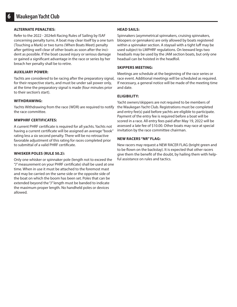#### **ALTERNATE PENALTIES:**

Refer to the 2022 - 2024eli Racing Rules of Sailing by ISAF concerning penalty turns. A boat may clear itself by a one turn (Touching a Mark) or two turns (When Boats Meet) penalty after getting well clear of other boats as soon after the incident as possible. If the boat caused injury or serious damage or gained a significant advantage in the race or series by her breach her penalty shall be to retire.

#### **AUXILIARY POWER:**

Yachts are considered to be racing after the preparatory signal, for their respective starts, and must be under sail power only, at the time the preparatory signal is made (four minutes prior to their section's start).

#### **WITHDRAWING:**

Yachts Withdrawing from the race (WDR) are required to notify the race committee.

#### **MWPHRF CERTIFICATES:**

A current PHRF certificate is required for all yachts. Yachts not having a current certificate will be assigned an average "book" rating less a six second penalty. There will be no retroactive favorable adjustment of this rating for races completed prior to submittal of a valid PHRF certificate.

#### **WHISKER POLES (RULE 50.2):**

Only one whisker or spinnaker pole (length not to exceed the "J" measurement on your PHRF certificate) shall be used at one time. When in use it must be attached to the foremost mast and may be carried on the same side or the opposite side of the boat on which the boom has been set. Poles that can be extended beyond the "J" length must be banded to indicate the maximum proper length. No handheld poles or devices allowed.

#### **HEAD SAILS:**

Spinnakers (asymmetrical spinnakers, cruising spinnakers, bloopers or gennakers) are only allowed by boats registered within a spinnaker section. A staysail with a tight luff may be used subject to LMPHRF regulations. On leeward legs two headsails may be used by the JAM section boats, but only one headsail can be hoisted in the headfoil.

#### **SKIPPERS MEETING:**

Meetings are schedule at the beginning of the race series or race event. Additional meetings will be scheduled as required. If necessary, a general notice will be made of the meeting time and date.

#### **ELIGIBILITY:**

Yacht owners/skippers are not required to be members of the Waukegan Yacht Club. Registrations must be completed and entry fee(s) paid before yachts are eligible to participate. Payment of the entry fee is required before a boat will be scored in a race. All entry fees paid after May 19, 2022 will be assessed a late fee of \$10.00. Other boats may race at special invitation by the race committee chairman.

#### **NEW RACERS "NR" FLAG:**

New racers may request a NEW RACER FLAG (bright green and to be flown on the backstay). It is expected that other racers give them the benefit of the doubt, by hailing them with helpful assistance on rules and tactics.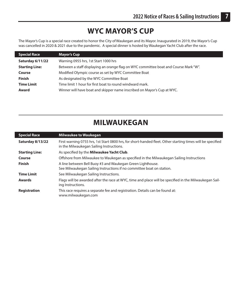### **WYC MAYOR'S CUP**

The Mayor's Cup is a special race created to honor the City of Waukegan and its Mayor. Inaugurated in 2019, the Mayor's Cup was cancelled in 2020 & 2021 due to the pandemic. A special dinner is hosted by Waukegan Yacht Club after the race.

| <b>Special Race</b>   | Mayor's Cup                                                                          |
|-----------------------|--------------------------------------------------------------------------------------|
| Saturday 6/11/22      | Warning 0955 hrs, 1st Start 1000 hrs                                                 |
| <b>Starting Line:</b> | Between a staff displaying an orange flag on WYC committee boat and Course Mark "W". |
| Course                | Modified Olympic course as set by WYC Committee Boat                                 |
| <b>Finish</b>         | As designated by the WYC Committee Boat                                              |
| <b>Time Limit</b>     | Time limit 1 hour for first boat to round windward mark.                             |
| <b>Award</b>          | Winner will have boat and skipper name inscribed on Mayor's Cup at WYC.              |

L

 $\overline{\phantom{a}}$ 

### **MILWAUKEGAN**

| <b>Special Race</b>   | <b>Milwaukee to Waukegan</b>                                                                                                                           |
|-----------------------|--------------------------------------------------------------------------------------------------------------------------------------------------------|
| Saturday 8/13/22      | First warning 0755 hrs, 1st Start 0800 hrs, for short-handed fleet. Other starting times will be specified<br>in the Milwaukegan Sailing Instructions. |
| <b>Starting Line:</b> | As specified by the Milwaukee Yacht Club.                                                                                                              |
| Course                | Offshore from Milwaukee to Waukegan as specified in the Milwaukegan Sailing Instructions                                                               |
| <b>Finish</b>         | A line between Bell Buoy #3 and Waukegan Green Lighthouse.<br>See Milwaukegan Sailing Instructions if no committee boat on station.                    |
| <b>Time Limit</b>     | See Milwaukegan Sailing Instructions.                                                                                                                  |
| <b>Awards</b>         | Flags will be awarded after the race at WYC, time and place will be specified in the Milwaukegan Sail-<br>ing Instructions.                            |
| Registration          | This race requires a separate fee and registration. Details can be found at:<br>www.milwaukegan.com                                                    |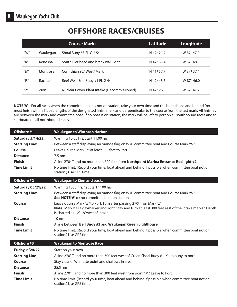L

# **OFFSHORE RACES/CRUISES**

|                                       |          | <b>Course Marks</b>                         | Latitude    | Longitude   |
|---------------------------------------|----------|---------------------------------------------|-------------|-------------|
| " $W$ "                               | Waukegan | Shoal Buoy #3 FL G 2.5s                     | N 42° 21.7' | W 87° 47.9' |
| "K"                                   | Kenosha  | South Pier head and break wall light        | N 42° 35.4' | W 87° 48.5' |
| $^{\prime\prime}$ M $^{\prime\prime}$ | Montrose | Corinthian YC "West" Mark                   | N 41° 57.7' | W 87° 37.4' |
| $^{\prime\prime}$ R $^{\prime\prime}$ | Racine   | Reef West End Buoy #1 FL G 4s               | N 42° 43.5' | W 87° 46.0  |
| $^{\prime\prime}7^{\prime\prime}$     | Zion     | Nuclear Power Plant Intake (Decommissioned) | N 42° 26.5' | W 87° 47.2' |

**NOTE 'A'** – For all races when the committee boat is not on station, take your own time and the boat ahead and behind. You must finish within 5 boat lengths of the designated finish mark and perpendicular to the course from the last mark. All finishes are between the mark and committee boat. If no boat is on station, the mark will be left to port on all southbound races and to starboard on all northbound races.

| Offshore #1                                                                                                  | <b>Waukegan to Winthrop Harbor</b>                                                                                                                                                                                                                                                                                                                                                                                      |
|--------------------------------------------------------------------------------------------------------------|-------------------------------------------------------------------------------------------------------------------------------------------------------------------------------------------------------------------------------------------------------------------------------------------------------------------------------------------------------------------------------------------------------------------------|
| Saturday 5/14/22<br><b>Starting Line:</b><br>Course<br><b>Distance</b><br><b>Finish</b><br><b>Time Limit</b> | Warning 10:55 hrs, Start 11:00 hrs<br>Between a staff displaying an orange flag on WYC committee boat and Course Mark "W".<br>Leave Course Mark "Z" at least 300 feet to Port.<br>$7.5 \text{ nm}$<br>A line 270° T and no more than 600 feet from Northpoint Marina Entrance Red light #2<br>No time limit. (Record your time, boat ahead and behind if possible when committee boat not on<br>station.) Use GPS time. |
| Offshore #2                                                                                                  | <b>Waukegan to Zion and back.</b>                                                                                                                                                                                                                                                                                                                                                                                       |
| <b>Saturday 05/21/22</b>                                                                                     | Warning 1055 hrs, 1st Start 1100 hrs                                                                                                                                                                                                                                                                                                                                                                                    |
| <b>Starting Line:</b>                                                                                        | Between a staff displaying an orange flag on WYC committee boat and Course Mark "W".<br>See NOTE 'A' re: no committee boat on station.                                                                                                                                                                                                                                                                                  |
| Course                                                                                                       | Leave Course Mark "Z" to Port. Turn after passing 270° T on Mark "Z"<br>Note: Mark has a daymarker and light. Stay and turn at least 300 feet east of the intake marker. Depth<br>is charted as 12'-18' west of intake.                                                                                                                                                                                                 |
| <b>Distance</b>                                                                                              | $10 \text{ nm}$                                                                                                                                                                                                                                                                                                                                                                                                         |
| <b>Finish</b>                                                                                                | A line between Bell Buoy #3 and Waukegan Green Lighthouse.                                                                                                                                                                                                                                                                                                                                                              |
| <b>Time Limit</b>                                                                                            | No time limit. (Record your time, boat ahead and behind if possible when committee boat not on<br>station.) Use GPS time.                                                                                                                                                                                                                                                                                               |
| Offshore #3                                                                                                  | <b>Waukegan to Montrose Race</b>                                                                                                                                                                                                                                                                                                                                                                                        |
| <b>Friday, 6/24/22</b>                                                                                       | Start on your own                                                                                                                                                                                                                                                                                                                                                                                                       |
| <b>Starting Line</b>                                                                                         | A line 270°T and no more than 300 feet west of Green Shoal Buoy #1. Keep buoy to port.                                                                                                                                                                                                                                                                                                                                  |
| Course                                                                                                       | Stay clear of Wilmette point and shallows in area.                                                                                                                                                                                                                                                                                                                                                                      |
| <b>Distance</b>                                                                                              | 25.5 nm                                                                                                                                                                                                                                                                                                                                                                                                                 |
| <b>Finish</b>                                                                                                | A line 270° T and no more than 300 feet west from point "M". Leave to Port                                                                                                                                                                                                                                                                                                                                              |
| <b>Time Limit</b>                                                                                            | No time limit. (Record your time, boat ahead and behind if possible when committee boat not on<br>station.) Use GPS time.                                                                                                                                                                                                                                                                                               |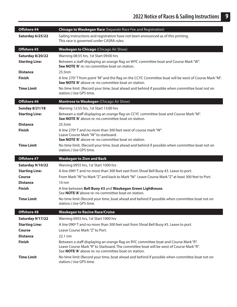| Offshore #4           | <b>Chicago to Waukegan Race (Separate Race Fee and Registration)</b>                                                                                                                                                                          |
|-----------------------|-----------------------------------------------------------------------------------------------------------------------------------------------------------------------------------------------------------------------------------------------|
| Saturday 6/25/22      | Sailing Instructions and registration have not been announced as of this printing.<br>This race is governed under CASRA rules.                                                                                                                |
| Offshore #5           | <b>Waukegan to Chicago</b> (Chicago Air Show)                                                                                                                                                                                                 |
| Saturday 8/20/22      | Warning 08:55 hrs, 1st Start 09:00 hrs                                                                                                                                                                                                        |
| <b>Starting Line:</b> | Between a staff displaying an orange flag on WYC committee boat and Course Mark "W".<br>See NOTE'A' re: no committee boat on station.                                                                                                         |
| <b>Distance</b>       | 25.5nm                                                                                                                                                                                                                                        |
| <b>Finish</b>         | A line 270° T from point "M" and the flag on the CCYC Committee boat will be west of Course Mark "M".<br>See NOTE 'A' above re: no committee boat on station.                                                                                 |
| <b>Time Limit</b>     | No time limit. (Record your time, boat ahead and behind if possible when committee boat not on<br>station.) Use GPS time.                                                                                                                     |
| Offshore #6           | Montrose to Waukegan (Chicago Air Show)                                                                                                                                                                                                       |
| <b>Sunday 8/21/18</b> | Warning 12:55 hrs, 1st Start 13:00 hrs                                                                                                                                                                                                        |
| <b>Starting Line:</b> | Between a staff displaying an orange flag on CCYC committee boat and Course Mark "M".<br>See NOTE 'A' above re: no committee boat on station.                                                                                                 |
| <b>Distance</b>       | 25.5nm                                                                                                                                                                                                                                        |
| <b>Finish</b>         | A line 270° T and no more than 300 feet west of course mark "W".<br>Leave Course Mark "W" to starboard.<br>See NOTE 'A' above re: no committee boat on station.                                                                               |
| <b>Time Limit</b>     | No time limit. (Record your time, boat ahead and behind if possible when committee boat not on<br>station.) Use GPS time.                                                                                                                     |
| Offshore #7           | <b>Waukegan to Zion and Back</b>                                                                                                                                                                                                              |
| Saturday 9/10/22      | Warning 0955 hrs, 1st Start 1000 hrs                                                                                                                                                                                                          |
| <b>Starting Line:</b> | A line 090° T and no more than 300 feet east from Shoal Bell Buoy #3. Leave to port.                                                                                                                                                          |
| Course                | From Mark "W" to Mark "Z" and back to Mark "W." Leave Course Mark "Z" at least 300 feet to Port.                                                                                                                                              |
| <b>Distance</b>       | 10 <sub>nm</sub>                                                                                                                                                                                                                              |
| <b>Finish</b>         | A line between Bell Buoy #3 and Waukegan Green Lighthouse.<br>See NOTE 'A' above re: no committee boat on station.                                                                                                                            |
| <b>Time Limit</b>     | No time limit (Record your time, boat ahead and behind if possible when committee boat not on<br>station.) Use GPS time.                                                                                                                      |
| Offshore #8           | <b>Waukegan to Racine Race/Cruise</b>                                                                                                                                                                                                         |
| Saturday 9/17/22      | Warning 0955 hrs, 1st Start 1000 hrs                                                                                                                                                                                                          |
| <b>Starting Line:</b> | A line 090° T and no more than 300 feet east from Shoal Bell Buoy #3. Leave to port.                                                                                                                                                          |
| Course                | Leave Course Mark "Z" to Port.                                                                                                                                                                                                                |
| <b>Distance</b>       | 22.1 nm                                                                                                                                                                                                                                       |
| <b>Finish</b>         | Between a staff displaying an orange flag on RYC committee boat and Course Mark "R".<br>Leave Course Mark "R" to Starboard. The committee boat will be west of Course Mark "R".<br>See <b>NOTE'A'</b> above re: no committee boat on station. |
| <b>Time Limit</b>     | No time limit (Record your time, boat ahead and behind if possible when committee boat not on<br>station.) Use GPS time.                                                                                                                      |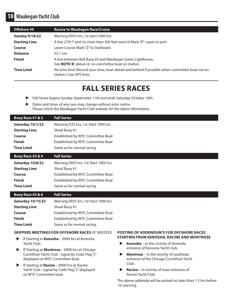### **10 Waukegan Yacht Club**

| Offshore #9           | <b>Racine to Waukegan Race/Cruise</b>                                                                                     |
|-----------------------|---------------------------------------------------------------------------------------------------------------------------|
| <b>Sunday 9/18/22</b> | Warning 0955 hrs, 1st start 1000 hrs                                                                                      |
| <b>Starting Line:</b> | A line 270° T and no more than 300 feet west of Mark "R". Leave to port.                                                  |
| Course                | Leave Course Mark "Z" to Starboard.                                                                                       |
| <b>Distance</b>       | $22.1 \text{ nm}$                                                                                                         |
| <b>Finish</b>         | A line between Bell Buoy #3 and Waukegan Green Lighthouse.<br>See <b>NOTE 'A'</b> above re: no committee boat on station. |
| <b>Time Limit</b>     | No time limit (Record your time, boat ahead and behind if possible when committee boat not on<br>station.) Use GPS time.  |

### **FALL SERIES RACES**

- Fall Series begins Sunday September 11th and ends Saturday October 16th.
- $\blacktriangleright$  Dates and times of any race may change without prior notice. Please check the Waukegan Yacht Club website for the latest information.

| Buoy Race #1 & 2                                                                                 | <b>Fall Series</b>                   |                                                                                                                               |
|--------------------------------------------------------------------------------------------------|--------------------------------------|-------------------------------------------------------------------------------------------------------------------------------|
| Saturday 10/1/22                                                                                 | Warning 9:55 hrs, 1st Start 1000 hrs |                                                                                                                               |
| <b>Starting Line:</b>                                                                            | Shoal Buoy #1                        |                                                                                                                               |
| Course                                                                                           | Established by WYC Committee Boat    |                                                                                                                               |
| <b>Finish</b>                                                                                    | Established by WYC Committee Boat    |                                                                                                                               |
| <b>Time Limit</b>                                                                                | Same as for normal racing.           |                                                                                                                               |
| Buoy Race #3 & 4                                                                                 | <b>Fall Series</b>                   |                                                                                                                               |
| Saturday 10/8/22                                                                                 | Warning 0955 hrs, 1st Start 1000 hrs |                                                                                                                               |
| <b>Starting Line:</b>                                                                            | Shoal Buoy #1                        |                                                                                                                               |
| Course                                                                                           | Established by WYC Committee Boat    |                                                                                                                               |
| <b>Finish</b>                                                                                    | Established by WYC Committee Boat    |                                                                                                                               |
| <b>Time Limit</b>                                                                                | Same as for normal racing.           |                                                                                                                               |
| Buoy Race #5 & 6                                                                                 | <b>Fall Series</b>                   |                                                                                                                               |
| <b>Saturday 10/15/22</b>                                                                         | Warning 0955 hrs, 1st Start 1000 hrs |                                                                                                                               |
| <b>Starting Line:</b>                                                                            | Shoal Buoy #1                        |                                                                                                                               |
| Course                                                                                           | Established by WYC Committee Boat    |                                                                                                                               |
| <b>Finish</b>                                                                                    | Established by WYC Committee Boat    |                                                                                                                               |
| <b>Time Limit</b>                                                                                | Same as for normal racing.           |                                                                                                                               |
| <b>SKIPPERS MEETINGS FOR OFFSHORE RACES (IF NEEDED)</b>                                          |                                      | <b>POSTING OF ADDENDUM'S FOR OFFSHORE RACES</b>                                                                               |
| If Starting in Kenosha - 0900 hrs at Kenosha                                                     |                                      | <b>STARTING FROM KENOSHA, RACINE AND MONTROSE</b><br>Kenosha - In the vicinity of dockside<br>entrance of Kenosha Yacht Club. |
| Yacht Club.                                                                                      |                                      |                                                                                                                               |
| If Starting at Montrose - 0900 hrs at Chicago<br>Corinthian Yacht Club - signal by Code Flag "L" |                                      | <b>Montrose</b> - In the vicinity of southeast                                                                                |
| displayed on WYC Committee boat.                                                                 |                                      | entrance of the Chicago Corinthian Yacht                                                                                      |

u If starting at **Racine** – 0900 hrs at Racine Yacht Club - signal by Code Flag "L" displayed on WYC Committee boat.

#### **Racine** – In vicinity of main entrance of Racine Yacht Club

Club.

The above addenda will be posted no later than 1.5 hrs before 1st warning.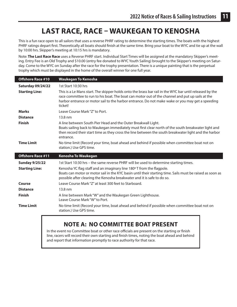## **LAST RACE, RACE – WAUKEGAN TO KENOSHA**

This is a fun race open to all sailors that uses a reverse PHRF rating to determine the starting times. The boats with the highest PHRF ratings depart first. Theoretically all boats should finish at the same time. Bring your boat to the WYC and tie up at the wall by 10:00 hrs. Skipper's meeting at 10:15 hrs is mandatory.

Note: **The Last Race Race** uses a Reverse PHRF start. Individual Start Times will be assigned at the mandatory Skipper's meeting. Entry Fee is an Old Trophy and \$10.00 (entry fee donated to WYC Youth Sailing) brought to the Skipper's meeting on Saturday. Come to the WYC on Sunday after the race for the trophy presentation. There is a unique painting that is the perpetual trophy which must be displayed in the home of the overall winner for one full year.

| <b>Offshore Race #10</b> | <b>Waukegan To Kenosha</b>                                                                                                                                                                                                                                                                                                 |
|--------------------------|----------------------------------------------------------------------------------------------------------------------------------------------------------------------------------------------------------------------------------------------------------------------------------------------------------------------------|
| <b>Saturday 09/24/22</b> | 1st Start 10:30 hrs                                                                                                                                                                                                                                                                                                        |
| <b>Starting Line:</b>    | This is a Le Mans start. The skipper holds onto the brass bar rail in the WYC bar until released by the<br>race committee to run to his boat. The boat can motor out of the channel and put up sails at the<br>harbor entrance or motor sail to the harbor entrance. Do not make wake or you may get a speeding<br>ticket! |
| <b>Marks</b>             | Leave Course Mark "Z" to Port.                                                                                                                                                                                                                                                                                             |
| <b>Distance</b>          | 13.8 nm                                                                                                                                                                                                                                                                                                                    |
| <b>Finish</b>            | A line between South Pier Head and the Outer Breakwall Light.<br>Boats sailing back to Waukegan immediately must first clear north of the south breakwater light and<br>then record their start time as they cross the line between the south breakwater light and the harbor<br>entrance.                                 |
| <b>Time Limit</b>        | No time limit (Record your time, boat ahead and behind if possible when committee boat not on<br>station.) Use GPS time.                                                                                                                                                                                                   |
| <b>Offshore Race #11</b> | <b>Kenosha To Waukegan</b>                                                                                                                                                                                                                                                                                                 |
| <b>Sunday 9/25/22</b>    | 1st Start 10:30 hrs - the same reverse PHRF will be used to determine starting times.                                                                                                                                                                                                                                      |
| <b>Starting Line:</b>    | Kenosha YC flag staff and an imaginary line 180° T from the flagpole.<br>Boats can motor or motor sail in the KYC basin until their starting time. Sails must be raised as soon as<br>possible after clearing the Kenosha breakwater and it is safe to do so.                                                              |
| Course                   | Leave Course Mark "Z" at least 300 feet to Starboard.                                                                                                                                                                                                                                                                      |
| <b>Distance</b>          | 13.8 nm                                                                                                                                                                                                                                                                                                                    |
| <b>Finish</b>            | A line between Mark "W" and the Waukegan Green Lighthouse.<br>Leave Course Mark "W" to Port.                                                                                                                                                                                                                               |
| <b>Time Limit</b>        | No time limit (Record your time, boat ahead and behind if possible when committee boat not on<br>station.) Use GPS time.                                                                                                                                                                                                   |

### **NOTE A: NO COMMITTEE BOAT PRESENT**

In the event no Committee boat or other race officials are present on the starting or finish line, racers will record their own starting and finish times, noting the boat ahead and behind and report that information promptly to race authority for that race.